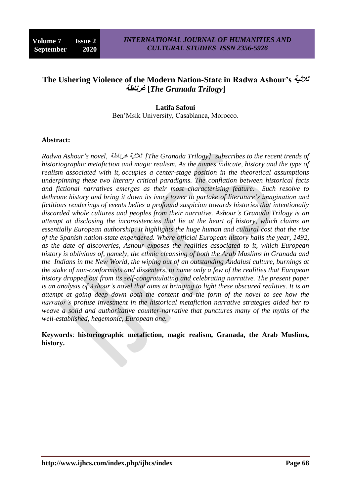# **The Ushering Violence of the Modern Nation-State in Radwa Ashour's ثالثية غرناطة]** *The Granada Trilogy***]**

## **Latifa Safoui** Ben'Msik University, Casablanca, Morocco.

#### **Abstract:**

*Radwa Ashour's novel,* بؽخَغغ خٛصالص*] The Granada Trilogy] subscribes to the recent trends of historiographic metafiction and magic realism. As the names indicate, history and the type of realism associated with it, occupies a center-stage position in the theoretical assumptions underpinning these two literary critical paradigms. The conflation between historical facts and fictional narratives emerges as their most characterising feature. Such resolve to dethrone history and bring it down its ivory tower to partake of literature's imagination and fictitious renderings of events belies a profound suspicion towards histories that intentionally discarded whole cultures and peoples from their narrative. Ashour's Granada Trilogy is an attempt at disclosing the inconsistencies that lie at the heart of history, which claims an essentially European authorship. It highlights the huge human and cultural cost that the rise of the Spanish nation-state engendered. Where official European history hails the year, 1492, as the date of discoveries, Ashour exposes the realities associated to it, which European history is oblivious of, namely, the ethnic cleansing of both the Arab Muslims in Granada and the Indians in the New World, the wiping out of an outstanding Andalusi culture, burnings at the stake of non-conformists and dissenters, to name only a few of the realities that European history dropped out from its self-congratulating and celebrating narrative. The present paper is an analysis of Ashour's novel that aims at bringing to light these obscured realities. It is an attempt at going deep down both the content and the form of the novel to see how the narrator's profuse investment in the historical metafiction narrative strategies aided her to weave a solid and authoritative counter-narrative that punctures many of the myths of the well-established, hegemonic, European one.*

**Keywords**: **historiographic metafiction, magic realism, Granada, the Arab Muslims, history.**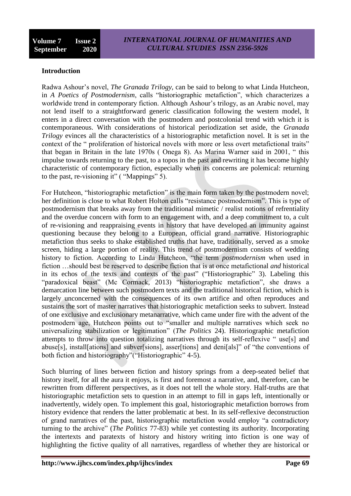## **Introduction**

Radwa Ashour's novel, *The Granada Trilogy,* can be said to belong to what Linda Hutcheon, in *A Poetics of Postmodernism*, calls "historiographic metafiction", which characterizes a worldwide trend in contemporary fiction. Although Ashour's trilogy, as an Arabic novel, may not lend itself to a straightforward generic classification following the western model, It enters in a direct conversation with the postmodern and postcolonial trend with which it is contemporaneous. With considerations of historical periodization set aside, the *Granada Trilogy* evinces all the characteristics of a historiographic metafiction novel. It is set in the context of the " proliferation of historical novels with more or less overt metafictional traits" that began in Britain in the late 1970s (Onega 8). As Marina Warner said in 2001, "this impulse towards returning to the past, to a topos in the past and rewriting it has become highly characteristic of contemporary fiction, especially when its concerns are polemical: returning to the past, re-visioning it" ( "Mappings" 5).

For Hutcheon, "historiographic metafiction" is the main form taken by the postmodern novel; her definition is close to what Robert Holton calls "resistance postmodernism". This is type of postmodernism that breaks away from the traditional mimetic / realist notions of refrentiality and the overdue concern with form to an engagement with, and a deep commitment to, a cult of re-visioning and reappraising events in history that have developed an immunity against questioning because they belong to a European, official grand narrative. Historiographic metafiction thus seeks to shake established truths that have, traditionally, served as a smoke screen, hiding a large portion of reality. This trend of postmodernism consists of wedding history to fiction. According to Linda Hutcheon, "the term *postmodernism* when used in fiction …should best be reserved to describe fiction that is at once metafictional *and* historical in its echos of the texts and contexts of the past" ("Historiographic" 3). Labeling this "paradoxical beast" (Mc Cormack, 2013) "historiographic metafiction", she draws a demarcation line between such postmodern texts and the traditional historical fiction, which is largely unconcerned with the consequences of its own artifice and often reproduces and sustains the sort of master narratives that historiographic metafiction seeks to subvert. Instead of one exclusive and exclusionary metanarrative, which came under fire with the advent of the postmodern age, Hutcheon points out to "smaller and multiple narratives which seek no universalizing stabilization or legitimation" (*The Politics* 24). Historiographic metafiction attempts to throw into question totalizing narratives through its self-reflexive "use[s] and abuse[s], install[ations] and subver[sions], asser[tions] and deni[als]" of "the conventions of both fiction and historiography"("Historiographic" 4-5).

Such blurring of lines between fiction and history springs from a deep-seated belief that history itself, for all the aura it enjoys, is first and foremost a narrative, and, therefore, can be rewritten from different perspectives, as it does not tell the whole story. Half-truths are that historiographic metafiction sets to question in an attempt to fill in gaps left, intentionally or inadvertently, widely open. To implement this goal, historiographic metafiction borrows from history evidence that renders the latter problematic at best. In its self-reflexive deconstruction of grand narratives of the past, historiographic metafiction would employ "a contradictory turning to the archive‖ (*The Politics* 77-83) while yet contesting its authority. Incorporating the intertexts and paratexts of history and history writing into fiction is one way of highlighting the fictive quality of all narratives, regardless of whether they are historical or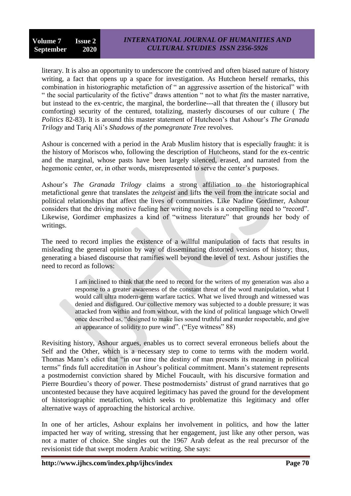literary. It is also an opportunity to underscore the contrived and often biased nature of history writing, a fact that opens up a space for investigation. As Hutcheon herself remarks, this combination in historiographic metafiction of " an aggressive assertion of the historical" with ― the social particularity of the fictive‖ draws attention ― not to what *fits* the master narrative, but instead to the ex-centric, the marginal, the borderline---all that threaten the ( illusory but comforting) security of the centured, totalizing, masterly discourses of our culture ( *The Politics* 82-83). It is around this master statement of Hutcheon's that Ashour's *The Granada Trilogy* and Tariq Ali's *Shadows of the pomegranate Tree* revolves.

Ashour is concerned with a period in the Arab Muslim history that is especially fraught: it is the history of Moriscos who, following the description of Hutcheons, stand for the ex-centric and the marginal, whose pasts have been largely silenced, erased, and narrated from the hegemonic center, or, in other words, misrepresented to serve the center's purposes.

Ashour's *The Granada Trilogy* claims a strong affiliation to the historiographical metafictional genre that translates the *zeitgeist* and lifts the veil from the intricate social and political relationships that affect the lives of communities. Like Nadine Gordimer, Ashour considers that the driving motive fueling her writing novels is a compelling need to "record". Likewise, Gordimer emphasizes a kind of "witness literature" that grounds her body of writings.

The need to record implies the existence of a willful manipulation of facts that results in misleading the general opinion by way of disseminating distorted versions of history; thus, generating a biased discourse that ramifies well beyond the level of text. Ashour justifies the need to record as follows:

> I am inclined to think that the need to record for the writers of my generation was also a response to a greater awareness of the constant threat of the word manipulation, what I would call ultra modern-germ warfare tactics. What we lived through and witnessed was denied and disfigured. Our collective memory was subjected to a double pressure; it was attacked from within and from without, with the kind of political language which Orwell once described as, "designed to make lies sound truthful and murder respectable, and give an appearance of solidity to pure wind".  $("Eve witness" 88)$

Revisiting history, Ashour argues, enables us to correct several erroneous beliefs about the Self and the Other, which is a necessary step to come to terms with the modern world. Thomas Mann's edict that "in our time the destiny of man presents its meaning in political terms" finds full accreditation in Ashour's political commitment. Mann's statement represents a postmodernist conviction shared by Michel Foucault, with his discursive formation and Pierre Bourdieu's theory of power. These postmodernists' distrust of grand narratives that go uncontested because they have acquired legitimacy has paved the ground for the development of historiographic metafiction, which seeks to problematize this legitimacy and offer alternative ways of approaching the historical archive.

In one of her articles, Ashour explains her involvement in politics, and how the latter impacted her way of writing, stressing that her engagement, just like any other person, was not a matter of choice. She singles out the 1967 Arab defeat as the real precursor of the revisionist tide that swept modern Arabic writing. She says: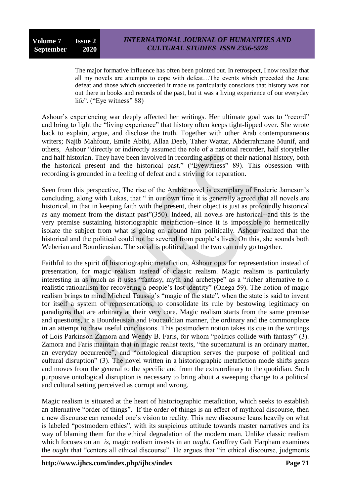The major formative influence has often been pointed out. In retrospect, I now realize that all my novels are attempts to cope with defeat…The events which preceded the June defeat and those which succeeded it made us particularly conscious that history was not out there in books and records of the past, but it was a living experience of our everyday life". ("Eye witness" 88)

Ashour's experiencing war deeply affected her writings. Her ultimate goal was to "record" and bring to light the "living experience" that history often keeps tight-lipped over. She wrote back to explain, argue, and disclose the truth. Together with other Arab contemporaneous writers; Najib Mahfouz, Emile Abibi, Allaa Deeb, Taher Wattar, Abderrahmane Munif, and others, Ashour "directly or indirectly assumed the role of a national recorder, half storyteller and half historian. They have been involved in recording aspects of their national history, both the historical present and the historical past." ("Eyewitness" 89). This obsession with recording is grounded in a feeling of defeat and a striving for reparation.

Seen from this perspective, The rise of the Arabic novel is exemplary of Frederic Jameson's concluding, along with Lukas, that " in our own time it is generally agreed that all novels are historical, in that in keeping faith with the present, their object is just as profoundly historical as any moment from the distant past" $(350)$ . Indeed, all novels are historical--and this is the very premise sustaining historiographic metafiction--since it is impossible to hermetically isolate the subject from what is going on around him politically. Ashour realized that the historical and the political could not be severed from people's lives. On this, she sounds both Weberian and Bourdieusian. The social is political, and the two can only go together.

Faithful to the spirit of historiographic metafiction, Ashour opts for representation instead of presentation, for magic realism instead of classic realism. Magic realism is particularly interesting in as much as it uses "fantasy, myth and archetype" as a "richer alternative to a realistic rationalism for recovering a people's lost identity" (Onega 59). The notion of magic realism brings to mind Micheal Taussig's "magic of the state", when the state is said to invent for itself a system of representations, to consolidate its rule by bestowing legitimacy on paradigms that are arbitrary at their very core. Magic realism starts from the same premise and questions, in a Bourdieusian and Foucauldian manner, the ordinary and the commonplace in an attempt to draw useful conclusions. This postmodern notion takes its cue in the writings of Lois Parkinson Zamora and Wendy B. Faris, for whom "politics collide with fantasy" (3). Zamora and Faris maintain that in magic realist texts, "the supernatural is an ordinary matter, an everyday occurrence", and "ontological disruption serves the purpose of political and cultural disruption" (3). The novel written in a historiographic metafiction mode shifts gears and moves from the general to the specific and from the extraordinary to the quotidian. Such purposive ontological disruption is necessary to bring about a sweeping change to a political and cultural setting perceived as corrupt and wrong.

Magic realism is situated at the heart of historiographic metafiction, which seeks to establish an alternative "order of things". If the order of things is an effect of mythical discourse, then a new discourse can remodel one's vision to reality. This new discourse leans heavily on what is labeled "postmodern ethics", with its suspicious attitude towards master narratives and its way of blaming them for the ethical degradation of the modern man. Unlike classic realism which focuses on an *is*, magic realism invests in an *ought*. Geoffrey Galt Harpham examines the *ought* that "centers all ethical discourse". He argues that "in ethical discourse, judgments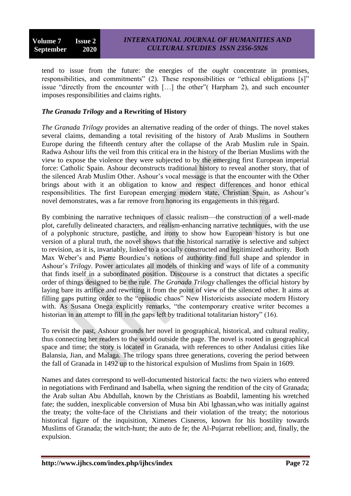tend to issue from the future: the energies of the *ought* concentrate in promises, responsibilities, and commitments" (2). These responsibilities or "ethical obligations [s]" issue "directly from the encounter with  $[\dots]$  the other" (Harpham 2), and such encounter imposes responsibilities and claims rights.

#### *The Granada Trilogy* **and a Rewriting of History**

*The Granada Trilogy* provides an alternative reading of the order of things. The novel stakes several claims, demanding a total revisiting of the history of Arab Muslims in Southern Europe during the fifteenth century after the collapse of the Arab Muslim rule in Spain. Radwa Ashour lifts the veil from this critical era in the history of the Iberian Muslims with the view to expose the violence they were subjected to by the emerging first European imperial force: Catholic Spain. Ashour deconstructs traditional history to reveal another story, that of the silenced Arab Muslim Other. Ashour's vocal message is that the encounter with the Other brings about with it an obligation to know and respect differences and honor ethical responsibilities. The first European emerging modern state, Christian Spain, as Ashour's novel demonstrates, was a far remove from honoring its engagements in this regard.

By combining the narrative techniques of classic realism—the construction of a well-made plot, carefully delineated characters, and realism-enhancing narrative techniques, with the use of a polyphonic structure, pastiche, and irony to show how European history is but one version of a plural truth, the novel shows that the historical narrative is selective and subject to revision, as it is, invariably, linked to a socially constructed and legitimized authority. Both Max Weber's and Pierre Bourdieu's notions of authority find full shape and splendor in Ashour's *Trilogy*. Power articulates all models of thinking and ways of life of a community that finds itself in a subordinated position. Discourse is a construct that dictates a specific order of things designed to be the rule. *The Granada Trilogy* challenges the official history by laying bare its artifice and rewriting it from the point of view of the silenced other. It aims at filling gaps putting order to the "episodic chaos" New Historicists associate modern History with. As Susana Onega explicitly remarks, "the contemporary creative writer becomes a historian in an attempt to fill in the gaps left by traditional totalitarian history"  $(16)$ .

To revisit the past, Ashour grounds her novel in geographical, historical, and cultural reality, thus connecting her readers to the world outside the page. The novel is rooted in geographical space and time; the story is located in Granada, with references to other Andalusi cities like Balansia, Jian, and Malaga. The trilogy spans three generations, covering the period between the fall of Granada in 1492 up to the historical expulsion of Muslims from Spain in 1609.

Names and dates correspond to well-documented historical facts: the two viziers who entered in negotiations with Ferdinand and Isabella, when signing the rendition of the city of Granada; the Arab sultan Abu Abdullah, known by the Christians as Boabdil, lamenting his wretched fate; the sudden, inexplicable conversion of Musa bin Abi lghassan,who was initially against the treaty; the volte-face of the Christians and their violation of the treaty; the notorious historical figure of the inquisition, Ximenes Cisneros, known for his hostility towards Muslims of Granada; the witch-hunt; the auto de fe; the Al-Pujarrat rebellion; and, finally, the expulsion.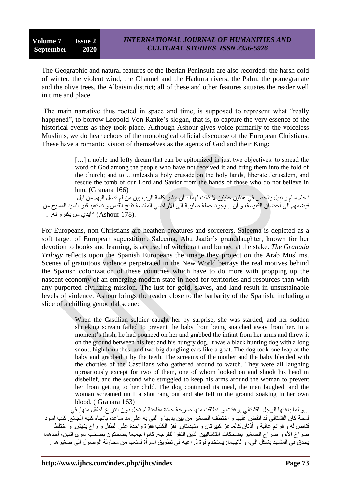The Geographic and natural features of the Iberian Peninsula are also recorded: the harsh cold of winter, the violent wind, the Channel and the Hadurra rivers, the Palm, the pomegranate and the olive trees, the Albaisin district; all of these and other features situates the reader well in time and place.

The main narrative thus rooted in space and time, is supposed to represent what "really happened", to borrow Leopold Von Ranke's slogan, that is, to capture the very essence of the historical events as they took place. Although Ashour gives voice primarily to the voiceless Muslims, we do hear echoes of the monological official discourse of the European Christians. These have a romantic vision of themselves as the agents of God and their King:

> [...] a noble and lofty dream that can be epitomized in just two objectives: to spread the word of God among the people who have not received it and bring them into the fold of the church; and to …unleash a holy crusade on the holy lands, liberate Jerusalem, and rescue the tomb of our Lord and Savior from the hands of those who do not believe in him. (Granara 166)

"حلم سام و نبيل يتلخص في هدفين جليلين لا ثالث لهما : أن ينشر كلمة الرب بين من لم تصل اليهم من قبل فيضمهم الى أحضبان الكنيسة، و أنّ... يجرّد حملة صليبية الى الأراضي المقدسة تفتح القدس و تستعيد قبر السيد المسيح من .(Ashour 178) "ايدي من يكفرو نه. ..

For Europeans, non-Christians are heathen creatures and sorcerers. Saleema is depicted as a soft target of European superstition. Saleema, Abu Jaafar's granddaughter, known for her devotion to books and learning, is accused of witchcraft and burned at the stake. *The Granada Trilogy* reflects upon the Spanish Europeans the image they project on the Arab Muslims. Scenes of gratuitous violence perpetrated in the New World betrays the real motives behind the Spanish colonization of these countries which have to do more with propping up the nascent economy of an emerging modern state in need for territories and resources than with any purported civilizing mission. The lust for gold, slaves, and land result in unsustainable levels of violence. Ashour brings the reader close to the barbarity of the Spanish, including a slice of a chilling genocidal scene:

> When the Castilian soldier caught her by surprise, she was startled, and her sudden shrieking scream failed to prevent the baby from being snatched away from her. In a moment's flash, he had pounced on her and grabbed the infant from her arms and threw it on the ground between his feet and his hungry dog. It was a black hunting dog with a long snout, high haunches, and two big dangling ears like a goat. The dog took one leap at the baby and grabbed it by the teeth. The screams of the mother and the baby blended with the chortles of the Castilians who gathered around to watch. They were all laughing uproariously except for two of them, one of whom looked on and shook his head in disbelief, and the second who struggled to keep his arms around the woman to prevent her from getting to her child. The dog continued its meal, the men laughed, and the woman screamed until a shot rang out and she fell to the ground soaking in her own blood. ( Granara 163)

...و لما باغتها الرجل القشتالي بوغتت و انطلقت منها صرخة حادة مفاجئة لم تحل دون انتزاع الطفل منها. في لمحة كان القشتالي قد انقض عليها و اختطف الصغير من بين يديها و ألقي به علي مد ساعده باتجاه كلبه الجائع. كلب اسو د قناص له و قوائم عالية و أذْنان كالماعز كبيرتان و متّهدلتان. قفز الكلّب فقّزة واحدّة على الطفل و راح بنهش. و اختلط صر اخ الأم و صر اخ الصغير بضحكات القشتاليين الذين التفوا للفرجة. كانو ا جميعا يضحكون بصخب سوى اثنين، أحدهما يحدق في المشهد بشكّل الى، و ثانيهما: يستخدم قوة ذراعيه في نطويق المر أة لمنعها من محاولة الوصول الى صغير ها .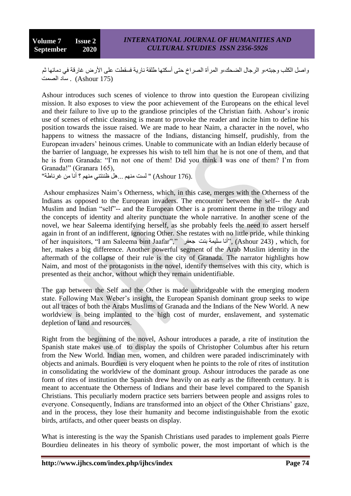و اصل الكلب و جبنه،و الر جال الضحك،و المر أة الصر اخ حتى أسكتها طلقة نار ية فسقطت على الأر ض غار قة في دمائها ثم ساد الصمت (Ashour  $175$ ) .

Ashour introduces such scenes of violence to throw into question the European civilizing mission. It also exposes to view the poor achievement of the Europeans on the ethical level and their failure to live up to the grandiose principles of the Christian faith. Ashour's ironic use of scenes of ethnic cleansing is meant to provoke the reader and incite him to define his position towards the issue raised. We are made to hear Naim, a character in the novel, who happens to witness the massacre of the Indians, distancing himself, prudishly, from the European invaders' heinous crimes. Unable to communicate with an Indian elderly because of the barrier of language, he expresses his wish to tell him that he is not one of them, and that he is from Granada: "I'm not one of them! Did you think I was one of them? I'm from Granada!" (Granara 165),

" لست منهم ...هل ظُننتني منهم ؟ أَنا من غرناطة" (Ashour 176).

Ashour emphasizes Naim's Otherness, which, in this case, merges with the Otherness of the Indians as opposed to the European invaders. The encounter between the self-- the Arab Muslim and Indian "self"-- and the European Other is a prominent theme in the trilogy and the concepts of identity and alterity punctuate the whole narrative. In another scene of the novel, we hear Saleema identifying herself, as she probably feels the need to assert herself again in front of an indifferent, ignoring Other. She restates with no little pride, while thinking of her inquisitors, "I am Saleema bint Jaafar"," أنا سليمة بنت جعفر (Ashour 243) , which, for her, makes a big difference. Another powerful segment of the Arab Muslim identity in the aftermath of the collapse of their rule is the city of Granada. The narrator highlights how Naim, and most of the protagonists in the novel, identify themselves with this city, which is presented as their anchor, without which they remain unidentifiable.

The gap between the Self and the Other is made unbridgeable with the emerging modern state. Following Max Weber's insight, the European Spanish dominant group seeks to wipe out all traces of both the Arabs Muslims of Granada and the Indians of the New World. A new worldview is being implanted to the high cost of murder, enslavement, and systematic depletion of land and resources.

Right from the beginning of the novel, Ashour introduces a parade, a rite of institution the Spanish state makes use of to display the spoils of Christopher Columbus after his return from the New World. Indian men, women, and children were paraded indiscriminately with objects and animals. Bourdieu is very eloquent when he points to the role of rites of institution in consolidating the worldview of the dominant group. Ashour introduces the parade as one form of rites of institution the Spanish drew heavily on as early as the fifteenth century. It is meant to accentuate the Otherness of Indians and their base level compared to the Spanish Christians. This peculiarly modern practice sets barriers between people and assigns roles to everyone. Consequently, Indians are transformed into an object of the Other Christians' gaze, and in the process, they lose their humanity and become indistinguishable from the exotic birds, artifacts, and other queer beasts on display.

What is interesting is the way the Spanish Christians used parades to implement goals Pierre Bourdieu delineates in his theory of symbolic power, the most important of which is the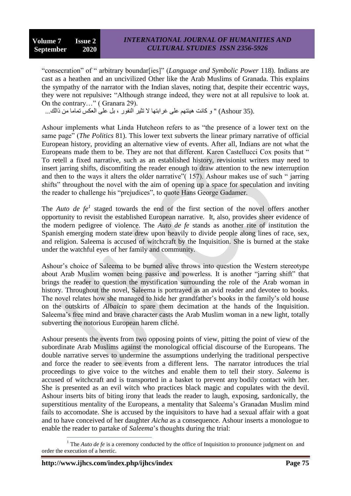―consecration‖ of ― arbitrary boundar[ies]‖ (*Language and Symbolic Power* 118). Indians are cast as a heathen and an uncivilized Other like the Arab Muslims of Granada. This explains the sympathy of the narrator with the Indian slaves, noting that, despite their eccentric ways, they were not repulsive: "Although strange indeed, they were not at all repulsive to look at. On the contrary..." (Granara 29).

.(35 Ashour) " و كانت هيئتهم على غرابتها لا تثير النفور ، بل على العكسّ تماما من ذالك...

Ashour implements what Linda Hutcheon refers to as "the presence of a lower text on the same page" (*The Politics* 81). This lower text subverts the linear primary narrative of official European history, providing an alternative view of events. After all, Indians are not what the Europeans made them to be. They are not that different. Karen Castellucci Cox posits that " To retell a fixed narrative, such as an established history, revisionist writers may need to insert jarring shifts, discomfiting the reader enough to draw attention to the new interruption and then to the ways it alters the older narrative" $(157)$ . Ashour makes use of such "jarring shifts" throughout the novel with the aim of opening up a space for speculation and inviting the reader to challenge his "prejudices", to quote Hans George Gadamer.

The *Auto de*  $fe^1$  staged towards the end of the first section of the novel offers another opportunity to revisit the established European narrative. It, also, provides sheer evidence of the modern pedigree of violence. The *Auto de fe* stands as another rite of institution the Spanish emerging modern state drew upon heavily to divide people along lines of race, sex, and religion. Saleema is accused of witchcraft by the Inquisition. She is burned at the stake under the watchful eyes of her family and community.

Ashour's choice of Saleema to be burned alive throws into question the Western stereotype about Arab Muslim women being passive and powerless. It is another "jarring shift" that brings the reader to question the mystification surrounding the role of the Arab woman in history. Throughout the novel, Saleema is portrayed as an avid reader and devotee to books. The novel relates how she managed to hide her grandfather's books in the family's old house on the outskirts of *Albaicin* to spare them decimation at the hands of the Inquisition. Saleema's free mind and brave character casts the Arab Muslim woman in a new light, totally subverting the notorious European harem cliché.

Ashour presents the events from two opposing points of view, pitting the point of view of the subordinate Arab Muslims against the monological official discourse of the Europeans. The double narrative serves to undermine the assumptions underlying the traditional perspective and force the reader to see events from a different lens. The narrator introduces the trial proceedings to give voice to the witches and enable them to tell their story. *Saleema* is accused of witchcraft and is transported in a basket to prevent any bodily contact with her. She is presented as an evil witch who practices black magic and copulates with the devil. Ashour inserts bits of biting irony that leads the reader to laugh, exposing, sardonically, the superstitious mentality of the Europeans, a mentality that Saleema's Granadan Muslim mind fails to accomodate. She is accused by the inquisitors to have had a sexual affair with a goat and to have conceived of her daughter *Aicha* as a consequence. Ashour inserts a monologue to enable the reader to partake of *Saleema*'s thoughts during the trial:

 $\overline{a}$ <sup>1</sup> The *Auto de fe* is a ceremony conducted by the office of Inquisition to pronounce judgment on and order the execution of a heretic.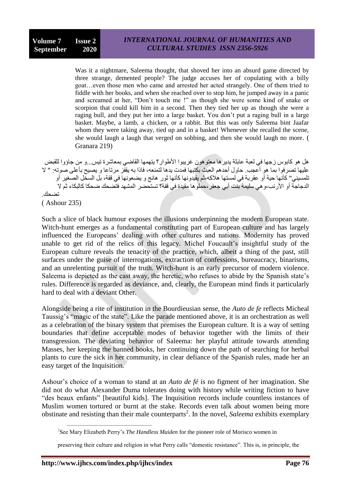Was it a nightmare, Saleema thought, that shoved her into an absurd game directed by three strange, demented people? The judge accuses her of copulating with a billy goat…even those men who came and arrested her acted strangely. One of them tried to fiddle with her books, and when she reached over to stop him, he jumped away in a panic and screamed at her, "Don't touch me !" as though she were some kind of snake or scorpion that could kill him in a second. Then they tied her up as though she were a raging bull, and they put her into a large basket. You don't put a raging bull in a large basket. Maybe, a lamb, a chicken, or a rabbit. But this was only Saleema bint Jaafar whom they were taking away, tied up and in a basket! Whenever she recalled the scene, she would laugh a laugh that verged on sobbing, and then she would laugh no more. ( Granara 219)

ْهل هو كابوس ز جها في لعبة عابثة يدير ها معتوِ هون غز بيو ا الأطوار ؟ بِتهمها القاضي بمعاشر ة تيس…و من جاؤوا للقبض عليها تصرفوا بما هو أعجب. حاول أحدهم العبث بكتبها فمدت يدها لتمنعه، فاذا به يقفّز مرتاعا و يصيح بأعلى صوته: " لا تلمسيني" كأنها حية أو عقر بة في لمستها هلاكه،تم يقيدو نها كأنها ثور ۖ هائج و يضعو نها في قفة، بل السخّل الصّعير ۖ أو الدجاجة أو الأرنب،و هي سليمة بنت أبي جعفر ،حملو ها مقيدة في قفة؟ تستحضر ِ المشهد فتضحك ضحكا كالبكاء ثم لا تضدداك. ( Ashour 235)

Such a slice of black humour exposes the illusions underpinning the modern European state. Witch-hunt emerges as a fundamental constituting part of European culture and has largely influenced the Europeans' dealing with other cultures and nations. Modernity has proved unable to get rid of the relics of this legacy. Michel Foucault's insightful study of the European culture reveals the tenacity of the practice, which, albeit a thing of the past, still surfaces under the guise of interrogations, extraction of confessions, bureaucracy, binarisms, and an unrelenting pursuit of the truth. Witch-hunt is an early precursor of modern violence. Saleema is depicted as the cast away, the heretic, who refuses to abide by the Spanish state's rules. Difference is regarded as deviance, and, clearly, the European mind finds it particularly hard to deal with a deviant Other.

Alongside being a rite of institution in the Bourdieusian sense, the *Auto de fe* reflects Micheal Taussig's "magic of the state". Like the parade mentioned above, it is an orchestration as well as a celebration of the binary system that premises the European culture. It is a way of setting boundaries that define acceptable modes of behavior together with the limits of their transgression. The deviating behavior of Saleema: her playful attitude towards attending Masses, her keeping the banned books, her continuing down the path of searching for herbal plants to cure the sick in her community, in clear defiance of the Spanish rules, made her an easy target of the Inquisition.

Ashour's choice of a woman to stand at an *Auto de fé* is no figment of her imagination. She did not do what Alexander Duma tolerates doing with history while writing fiction to have ―des beaux enfants‖ [beautiful kids]. The Inquisition records include countless instances of Muslim women tortured or burnt at the stake. Records even talk about women being more obstinate and resisting than their male counterparts<sup>2</sup>. In the novel, *Saleema* exhibits exemplary

 $\overline{a}$ 

<sup>2</sup> See Mary Elizabeth Perry's *The Handless Maiden* for the pioneer role of Morisco women in

preserving their culture and religion in what Perry calls "domestic resistance". This is, in principle, the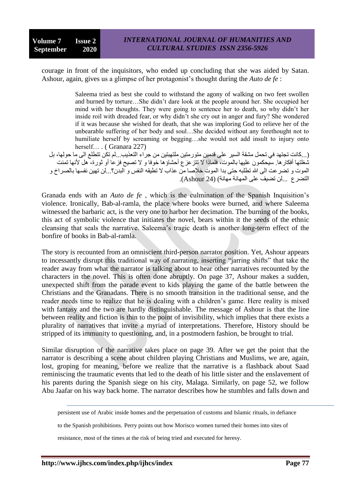courage in front of the inquisitors, who ended up concluding that she was aided by Satan. Ashour, again, gives us a glimpse of her protagonist's thought during the *Auto de fe* :

> Saleema tried as best she could to withstand the agony of walking on two feet swollen and burned by torture…She didn't dare look at the people around her. She occupied her mind with her thoughts. They were going to sentence her to death, so why didn't her inside roil with dreaded fear, or why didn't she cry out in anger and fury? She wondered if it was because she wished for death, that she was imploring God to relieve her of the unbearable suffering of her body and soul…She decided without any forethought not to humiliate herself by screaming or begging…she would not add insult to injury onto herself… . (Granara 227)

(...كانت تجتهد في تحمل مشقة السير على قدمين متورمتين ملتهبتين من جراء التعذيب...لم تكن تتطلع الى ما حولها، بل شغلتها أفكار ها. سيحكمون عليها بالموت، فلماذا لا تتزعزع أحشاؤها خوفا و لا تصيح فزعاً أو ثورة، هل لأنها تمنت الموت و تضرعت الى الله تطلبه حتى بدا الموت خلاصا من عذاب لا تطبقه النفس و البدن؟...لن تهين نفسها بالصر اخ و التضرع ...لن تضيف على المهانة مهانة) (24 Ashour).

Granada ends with an *Auto de fe* , which is the culmination of the Spanish Inquisition's violence. Ironically, Bab-al-ramla, the place where books were burned, and where Saleema witnessed the barbaric act, is the very one to harbor her decimation. The burning of the books, this act of symbolic violence that initiates the novel, bears within it the seeds of the ethnic cleansing that seals the narrative. Saleema's tragic death is another long-term effect of the bonfire of books in Bab-al-ramla.

The story is recounted from an omniscient third-person narrator position. Yet, Ashour appears to incessantly disrupt this traditional way of narrating, inserting "jarring shifts" that take the reader away from what the narrator is talking about to hear other narratives recounted by the characters in the novel. This is often done abruptly. On page 37, Ashour makes a sudden, unexpected shift from the parade event to kids playing the game of the battle between the Christians and the Granadans. There is no smooth transition in the traditional sense, and the reader needs time to realize that he is dealing with a children's game. Here reality is mixed with fantasy and the two are hardly distinguishable. The message of Ashour is that the line between reality and fiction is thin to the point of invisibility, which implies that there exists a plurality of narratives that invite a myriad of interpretations. Therefore, History should be stripped of its immunity to questioning, and, in a postmodern fashion, be brought to trial.

Similar disruption of the narrative takes place on page 39. After we get the point that the narrator is describing a scene about children playing Christians and Muslims, we are, again, lost, groping for meaning, before we realize that the narrative is a flashback about Saad reminiscing the traumatic events that led to the death of his little sister and the enslavement of his parents during the Spanish siege on his city, Malaga. Similarly, on page 52, we follow Abu Jaafar on his way back home. The narrator describes how he stumbles and falls down and

 $\overline{a}$ 

persistent use of Arabic inside homes and the perpetuation of customs and Islamic rituals, in defiance

to the Spanish prohibitions. Perry points out how Morisco women turned their homes into sites of

resistance, most of the times at the risk of being tried and executed for heresy.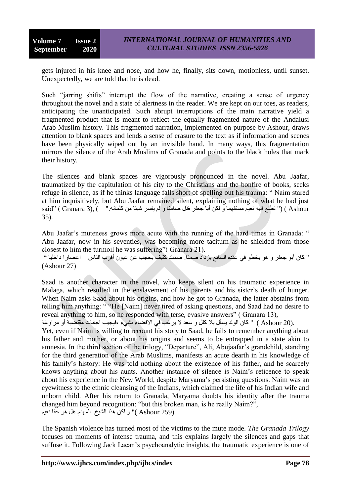gets injured in his knee and nose, and how he, finally, sits down, motionless, until sunset. Unexpectedly, we are told that he is dead.

Such "jarring shifts" interrupt the flow of the narrative, creating a sense of urgency throughout the novel and a state of alertness in the reader. We are kept on our toes, as readers, anticipating the unanticipated. Such abrupt interruptions of the main narrative yield a fragmented product that is meant to reflect the equally fragmented nature of the Andalusi Arab Muslim history. This fragmented narration, implemented on purpose by Ashour, draws attention to blank spaces and lends a sense of erasure to the text as if information and scenes have been physically wiped out by an invisible hand. In many ways, this fragmentation mirrors the silence of the Arab Muslims of Granada and points to the black holes that mark their history.

The silences and blank spaces are vigorously pronounced in the novel. Abu Jaafar, traumatized by the capitulation of his city to the Christians and the bonfire of books, seeks refuge in silence, as if he thinks language falls short of spelling out his trauma: "Naim stared at him inquisitively, but Abu Jaafar remained silent, explaining nothing of what he had just said" ( Granara 3), ( " تطلع اليه نعيّم مستفهما و لكن أبا جعفر ظل صامتا و لم يفسر شيئا من كلماته." ) ,(3 Granara 35).

Abu Jaafar's muteness grows more acute with the running of the hard times in Granada: " Abu Jaafar, now in his seventies, was becoming more taciturn as he shielded from those closest to him the turmoil he was suffering"  $($  Granara 21 $)$ .

" كان أبو جعفر و هو يخطو في عقدِه السابع يزداد صمتا. صمت كَثْبِف يحجب عن عيون أقرب الناس اعصار ا داخليا '' (Ashour 27)

Saad is another character in the novel, who keeps silent on his traumatic experience in Malaga, which resulted in the enslavement of his parents and his sister's death of hunger. When Naim asks Saad about his origins, and how he got to Granada, the latter abstains from telling him anything: ""He [Naim] never tired of asking questions, and Saad had no desire to reveal anything to him, so he responded with terse, evasive answers" (Granara 13),

.(20 Ashour ) " كان الولد يسأل بلا كلل و سعد لا يرغب في الافضاء بشيء ،فيجيب اجابات مقتضبة أو مراوغة

Yet, even if Naim is willing to recount his story to Saad, he fails to remember anything about his father and mother, or about his origins and seems to be entrapped in a state akin to amnesia. In the third section of the trilogy, "Departure", Ali, Abujaafar's grandchild, standing for the third generation of the Arab Muslims, manifests an acute dearth in his knowledge of his family's history: He was told nothing about the existence of his father, and he scarcely knows anything about his aunts. Another instance of silence is Naim's reticence to speak about his experience in the New World, despite Maryama's persisting questions. Naim was an eyewitness to the ethnic cleansing of the Indians, which claimed the life of his Indian wife and unborn child. After his return to Granada, Maryama doubts his identity after the trauma changed him beyond recognition: "but this broken man, is he really Naim?", بر (259 Ashour )" و لكن هذا الشيخ المعدم هل هو حقا نعيم "

The Spanish violence has turned most of the victims to the mute mode. *The Granada Trilogy* focuses on moments of intense trauma, and this explains largely the silences and gaps that suffuse it. Following Jack Lacan's psychoanalytic insights, the traumatic experience is one of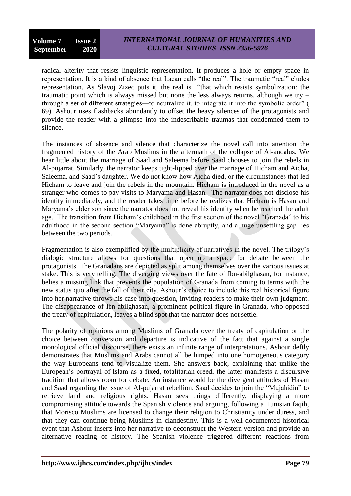radical alterity that resists linguistic representation. It produces a hole or empty space in representation. It is a kind of absence that Lacan calls "the real". The traumatic "real" eludes representation. As Slavoj Zizec puts it, the real is "that which resists symbolization: the traumatic point which is always missed but none the less always returns, although we try – through a set of different strategies—to neutralize it, to integrate it into the symbolic order" ( 69). Ashour uses flashbacks abundantly to offset the heavy silences of the protagonists and provide the reader with a glimpse into the indescribable traumas that condemned them to silence.

The instances of absence and silence that characterize the novel call into attention the fragmented history of the Arab Muslims in the aftermath of the collapse of Al-andalus. We hear little about the marriage of Saad and Saleema before Saad chooses to join the rebels in Al-pujarrat. Similarly, the narrator keeps tight-lipped over the marriage of Hicham and Aicha, Saleema, and Saad's daughter. We do not know how Aicha died, or the circumstances that led Hicham to leave and join the rebels in the mountain. Hicham is introduced in the novel as a stranger who comes to pay visits to Maryama and Hasan. The narrator does not disclose his identity immediately, and the reader takes time before he realizes that Hicham is Hasan and Maryama's elder son since the narrator does not reveal his identity when he reached the adult age. The transition from Hicham's childhood in the first section of the novel "Granada" to his adulthood in the second section "Maryama" is done abruptly, and a huge unsettling gap lies between the two periods.

Fragmentation is also exemplified by the multiplicity of narratives in the novel. The trilogy's dialogic structure allows for questions that open up a space for debate between the protagonists. The Granadans are depicted as split among themselves over the various issues at stake. This is very telling. The diverging views over the fate of Ibn-abilghasan, for instance, belies a missing link that prevents the population of Granada from coming to terms with the new status quo after the fall of their city. Ashour's choice to include this real historical figure into her narrative throws his case into question, inviting readers to make their own judgment. The disappearance of Ibn-abilghasan, a prominent political figure in Granada, who opposed the treaty of capitulation, leaves a blind spot that the narrator does not settle.

The polarity of opinions among Muslims of Granada over the treaty of capitulation or the choice between conversion and departure is indicative of the fact that against a single monological official discourse, there exists an infinite range of interpretations. Ashour deftly demonstrates that Muslims and Arabs cannot all be lumped into one homogeneous category the way Europeans tend to visualize them. She answers back, explaining that unlike the European's portrayal of Islam as a fixed, totalitarian creed, the latter manifests a discursive tradition that allows room for debate. An instance would be the divergent attitudes of Hasan and Saad regarding the issue of Al-pujarrat rebellion. Saad decides to join the "Mujahidin" to retrieve land and religious rights. Hasan sees things differently, displaying a more compromising attitude towards the Spanish violence and arguing, following a Tunisian faqih, that Morisco Muslims are licensed to change their religion to Christianity under duress, and that they can continue being Muslims in clandestiny. This is a well-documented historical event that Ashour inserts into her narrative to deconstruct the Western version and provide an alternative reading of history. The Spanish violence triggered different reactions from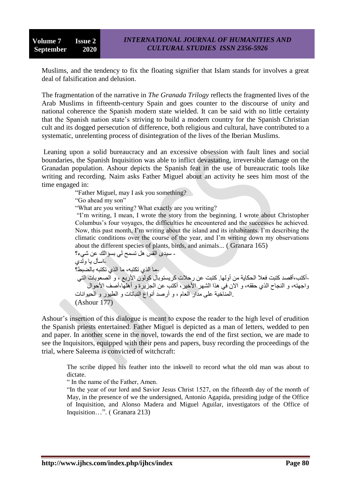Muslims, and the tendency to fix the floating signifier that Islam stands for involves a great deal of falsification and delusion.

The fragmentation of the narrative in *The Granada Trilogy* reflects the fragmented lives of the Arab Muslims in fifteenth-century Spain and goes counter to the discourse of unity and national coherence the Spanish modern state wielded. It can be said with no little certainty that the Spanish nation state's striving to build a modern country for the Spanish Christian cult and its dogged persecution of difference, both religious and cultural, have contributed to a systematic, unrelenting process of disintegration of the lives of the Iberian Muslims.

Leaning upon a solid bureaucracy and an excessive obsession with fault lines and social boundaries, the Spanish Inquisition was able to inflict devastating, irreversible damage on the Granadan population. Ashour depicts the Spanish feat in the use of bureaucratic tools like writing and recording. Naim asks Father Miguel about an activity he sees him most of the time engaged in:

―Father Miguel, may I ask you something? "Go ahead my son" ―What are you writing? What exactly are you writing? "I'm writing, I mean, I wrote the story from the beginning. I wrote about Christopher Columbus's four voyages, the difficulties he encountered and the successes he achieved. Now, this past month, I'm writing about the island and its inhabitants. I'm describing the climatic conditions over the course of the year, and I'm writing down my observations about the different species of plants, birds, and animals... ( Granara 165) - سيدي القس هل تسمح لي بسؤالك عن شيء؟ -اسأل با ولّدى حما الذي تكتبه، ما الذي تكتبه بالضبط؟ -أكتب،أقصد كتبت فعلا الحكاية من أو لها. كتبت عن رحلات كريستوبال كولون الأربع ، و الصعوبات التي ّ واجهته، و النجاح الذي حققه، و الان في هذا الشهر الأخير ، أكتب عن الجزير ة و أهلها،أصف الأحوال .المنآخية على مدار العام ، و أرصد أنواع النباتات و الطيور و الحيوانات (Ashour 177)

Ashour's insertion of this dialogue is meant to expose the reader to the high level of erudition the Spanish priests entertained. Father Miguel is depicted as a man of letters, wedded to pen and paper. In another scene in the novel, towards the end of the first section, we are made to see the Inquisitors, equipped with their pens and papers, busy recording the proceedings of the trial, where Saleema is convicted of witchcraft:

The scribe dipped his feather into the inkwell to record what the old man was about to dictate.

" In the name of the Father, Amen.

"In the year of our lord and Savior Jesus Christ 1527, on the fifteenth day of the month of May, in the presence of we the undersigned, Antonio Agapida, presiding judge of the Office of Inquisition, and Alonso Madera and Miguel Aguilar, investigators of the Office of Inquisition…". (Granara 213)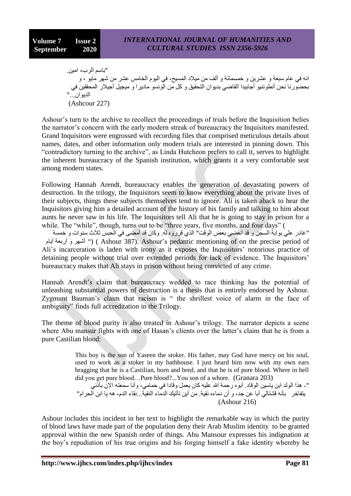"ثباسم الرين، امين انه في عام سبعة و عشرين و خمسمائة و ألف من ميلاد المسيح، في اليوم الخامس عشر من شهر مايو ، و بحضورنا نحن أنطوننيو أجابيدا القاضي بديوان التحقيق و كل من الونسو ماديرا و ميجيل أجيلار المحققين في الديوان..." (Ashcour 227)

Ashour's turn to the archive to recollect the proceedings of trials before the Inquisition belies the narrator's concern with the early modern streak of bureaucracy the Inquisitors manifested. Grand Inquisitors were engrossed with recording files that comprised meticulous details about names, dates, and other information only modern trials are interested in pinning down. This "contradictory turning to the archive", as Linda Hutcheon prefers to call it, serves to highlight the inherent bureaucracy of the Spanish institution, which grants it a very comfortable seat among modern states.

Following Hannah Arendt, bureaucracy enables the generation of devastating powers of destruction. In the trilogy, the Inquisitors seem to know everything about the private lives of their subjects, things these subjects themselves tend to ignore. Ali is taken aback to hear the Inquisitors giving him a detailed account of the history of his family and talking to him about aunts he never saw in his life. The Inquisitors tell Ali that he is going to stay in prison for a while. The "while", though, turns out to be "three years, five months, and four days" (

"غادر على بوابة السجن و قد انقضـي بعض الوقت" الذي قرروه له. وكان قد أمضـي في الحبس ثلاث سنوات و خمسة بَ أَشْهِرٍ و أربعة أيام") ( Ashour 387). Ashour's pedantic mentioning of on the precise period of Ali's incarceration is laden with irony as it exposes the Inquisitors' notorious practice of detaining people without trial over extended periods for lack of evidence. The Inquisitors' bureaucracy makes that Ali stays in prison without being convicted of any crime.

Hannah Arendt's claim that bureaucracy wedded to race thinking has the potential of unleashing substantial powers of destruction is a thesis that is entirely endorsed by Ashour. Zygmunt Bauman's claim that racism is " the shrillest voice of alarm in the face of ambiguity" finds full accreditation in the Trilogy.

The theme of blood purity is also treated in Ashour's trilogy. The narrator depicts a scene where Abu mansur fights with one of Hasan's clients over the latter's claim that he is from a pure Castilian blood:

> This boy is the son of Yaseen the stoker. His father, may God have mercy on his soul, used to work as a stoker in my bathhouse. I just heard him now with my own ears bragging that he is a Castilian, born and bred, and that he is of pure blood. Where in hell did you get pure blood…Pure blood?...You son of a whore. (Granara 203)

> "- هذا الولد ابن ياسين الوقاد ِ أبوه رحمة الله عليه كان يعمل وقادا في حمامي، وأنا سمعته الآن بأَنَّني يتفاخر بأنه قشتالي أبا عن جد، و أن دماءه نقية. من أين تأتيك الدماء النقية...نقاء الدم، هه يا ابن الحرام" (Ashour 216)

Ashour includes this incident in her text to highlight the remarkable way in which the purity of blood laws have made part of the population deny their Arab Muslim identity to be granted approval within the new Spanish order of things. Abu Mansour expresses his indignation at the boy's repudiation of his true origins and his forging himself a fake identity whereby he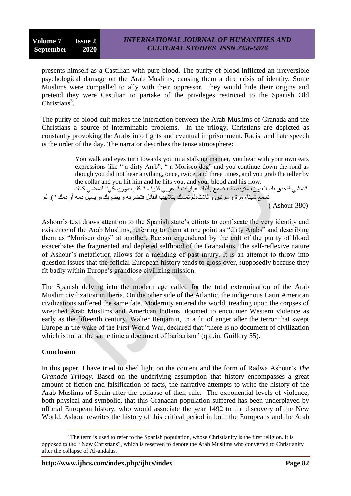presents himself as a Castilian with pure blood. The purity of blood inflicted an irreversible psychological damage on the Arab Muslims, causing them a dire crisis of identity. Some Muslims were compelled to ally with their oppressor. They would hide their origins and pretend they were Castilian to partake of the privileges restricted to the Spanish Old  $Christians<sup>3</sup>$ .

The purity of blood cult makes the interaction between the Arab Muslims of Granada and the Christians a source of interminable problems. In the trilogy, Christians are depicted as constantly provoking the Arabs into fights and eventual imprisonment. Racist and hate speech is the order of the day. The narrator describes the tense atmosphere:

> You walk and eyes turn towards you in a stalking manner, you hear with your own ears expressions like " a dirty Arab", " a Morisco dog" and you continue down the road as though you did not hear anything, once, twice, and three times, and you grab the teller by the collar and you hit him and he hits you, and your blood and his flow.

"تمشى فتحدق بك العيون، متربصة ، تسمع بأذنك عبارات " عربي قذر "، " كلب موريسكي" فتمضى كأنك ِ تسمّع شبئًا، مر ة و مر تين و ٹلاٹ،ٹم تمسك بتلابيب القائل فتضر به و بضر بك،و بسبل دمه أو دمك "). لم

( Ashour 380)

Ashour's text draws attention to the Spanish state's efforts to confiscate the very identity and existence of the Arab Muslims, referring to them at one point as "dirty Arabs" and describing them as "Morisco dogs" at another. Racism engendered by the cult of the purity of blood exacerbates the fragmented and depleted selfhood of the Granadans. The self-reflexive nature of Ashour's metafiction allows for a mending of past injury. It is an attempt to throw into question issues that the official European history tends to gloss over, supposedly because they fit badly within Europe's grandiose civilizing mission.

The Spanish delving into the modern age called for the total extermination of the Arab Muslim civilization in Iberia. On the other side of the Atlantic, the indigenous Latin American civilizations suffered the same fate. Modernity entered the world, treading upon the corpses of wretched Arab Muslims and American Indians, doomed to encounter Western violence as early as the fifteenth century. Walter Benjamin, in a fit of anger after the terror that swept Europe in the wake of the First World War, declared that "there is no document of civilization which is not at the same time a document of barbarism" (qtd.in. Guillory 55).

## **Conclusion**

 $\overline{a}$ 

In this paper, I have tried to shed light on the content and the form of Radwa Ashour's *The Granada Trilogy*. Based on the underlying assumption that history encompasses a great amount of fiction and falsification of facts, the narrative attempts to write the history of the Arab Muslims of Spain after the collapse of their rule. The exponential levels of violence, both physical and symbolic, that this Granadan population suffered has been underplayed by official European history, who would associate the year 1492 to the discovery of the New World. Ashour rewrites the history of this critical period in both the Europeans and the Arab

<sup>&</sup>lt;sup>3</sup> The term is used to refer to the Spanish population, whose Christianity is the first religion. It is opposed to the "New Christians", which is reserved to denote the Arab Muslims who converted to Christianity after the collapse of Al-andalus.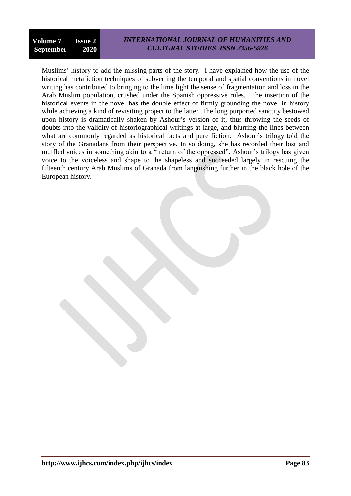Muslims' history to add the missing parts of the story. I have explained how the use of the historical metafiction techniques of subverting the temporal and spatial conventions in novel writing has contributed to bringing to the lime light the sense of fragmentation and loss in the Arab Muslim population, crushed under the Spanish oppressive rules. The insertion of the historical events in the novel has the double effect of firmly grounding the novel in history while achieving a kind of revisiting project to the latter. The long purported sanctity bestowed upon history is dramatically shaken by Ashour's version of it, thus throwing the seeds of doubts into the validity of historiographical writings at large, and blurring the lines between what are commonly regarded as historical facts and pure fiction. Ashour's trilogy told the story of the Granadans from their perspective. In so doing, she has recorded their lost and muffled voices in something akin to a " return of the oppressed". Ashour's trilogy has given voice to the voiceless and shape to the shapeless and succeeded largely in rescuing the fifteenth century Arab Muslims of Granada from languishing further in the black hole of the European history.